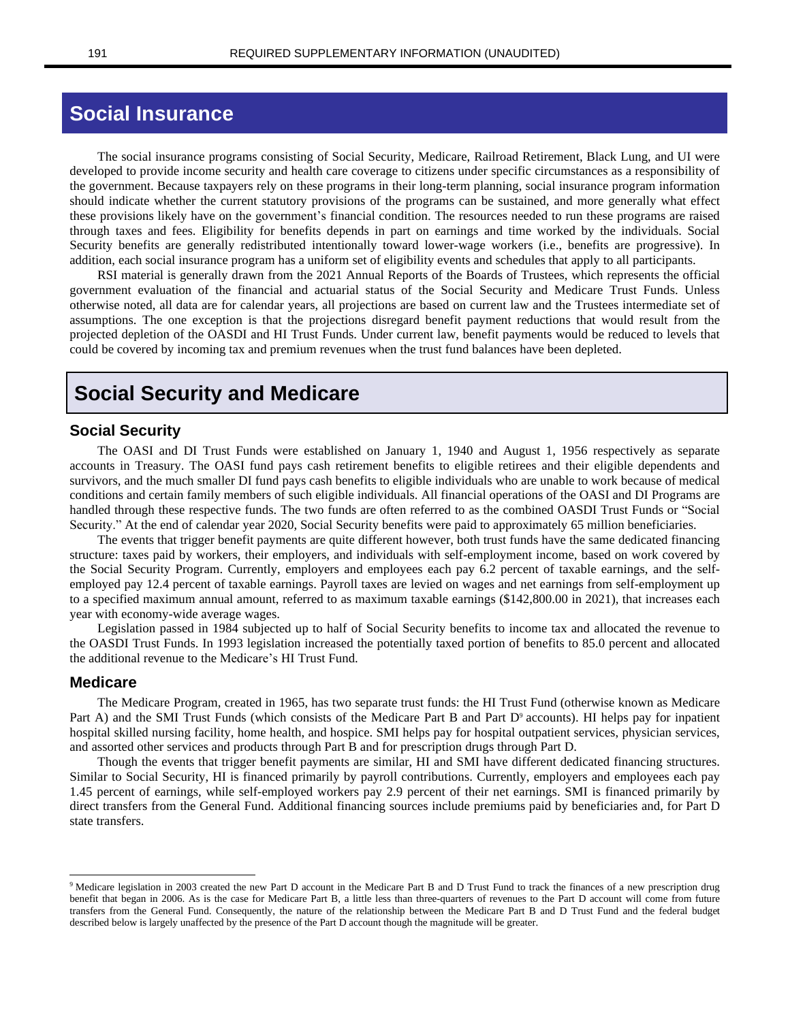# **Social Insurance**

The social insurance programs consisting of Social Security, Medicare, Railroad Retirement, Black Lung, and UI were developed to provide income security and health care coverage to citizens under specific circumstances as a responsibility of the government. Because taxpayers rely on these programs in their long-term planning, social insurance program information should indicate whether the current statutory provisions of the programs can be sustained, and more generally what effect these provisions likely have on the government's financial condition. The resources needed to run these programs are raised through taxes and fees. Eligibility for benefits depends in part on earnings and time worked by the individuals. Social Security benefits are generally redistributed intentionally toward lower-wage workers (i.e., benefits are progressive). In addition, each social insurance program has a uniform set of eligibility events and schedules that apply to all participants.

RSI material is generally drawn from the 2021 Annual Reports of the Boards of Trustees, which represents the official government evaluation of the financial and actuarial status of the Social Security and Medicare Trust Funds. Unless otherwise noted, all data are for calendar years, all projections are based on current law and the Trustees intermediate set of assumptions. The one exception is that the projections disregard benefit payment reductions that would result from the projected depletion of the OASDI and HI Trust Funds. Under current law, benefit payments would be reduced to levels that could be covered by incoming tax and premium revenues when the trust fund balances have been depleted.

# **Social Security and Medicare**

### **Social Security**

The OASI and DI Trust Funds were established on January 1, 1940 and August 1, 1956 respectively as separate accounts in Treasury. The OASI fund pays cash retirement benefits to eligible retirees and their eligible dependents and survivors, and the much smaller DI fund pays cash benefits to eligible individuals who are unable to work because of medical conditions and certain family members of such eligible individuals. All financial operations of the OASI and DI Programs are handled through these respective funds. The two funds are often referred to as the combined OASDI Trust Funds or "Social Security." At the end of calendar year 2020, Social Security benefits were paid to approximately 65 million beneficiaries.

The events that trigger benefit payments are quite different however, both trust funds have the same dedicated financing structure: taxes paid by workers, their employers, and individuals with self-employment income, based on work covered by the Social Security Program. Currently, employers and employees each pay 6.2 percent of taxable earnings, and the selfemployed pay 12.4 percent of taxable earnings. Payroll taxes are levied on wages and net earnings from self-employment up to a specified maximum annual amount, referred to as maximum taxable earnings (\$142,800.00 in 2021), that increases each year with economy-wide average wages.

Legislation passed in 1984 subjected up to half of Social Security benefits to income tax and allocated the revenue to the OASDI Trust Funds. In 1993 legislation increased the potentially taxed portion of benefits to 85.0 percent and allocated the additional revenue to the Medicare's HI Trust Fund.

#### **Medicare**

The Medicare Program, created in 1965, has two separate trust funds: the HI Trust Fund (otherwise known as Medicare Part A) and the SMI Trust Funds (which consists of the Medicare Part B and Part D<sup>9</sup> accounts). HI helps pay for inpatient hospital skilled nursing facility, home health, and hospice. SMI helps pay for hospital outpatient services, physician services, and assorted other services and products through Part B and for prescription drugs through Part D.

Though the events that trigger benefit payments are similar, HI and SMI have different dedicated financing structures. Similar to Social Security, HI is financed primarily by payroll contributions. Currently, employers and employees each pay 1.45 percent of earnings, while self-employed workers pay 2.9 percent of their net earnings. SMI is financed primarily by direct transfers from the General Fund. Additional financing sources include premiums paid by beneficiaries and, for Part D state transfers.

<sup>&</sup>lt;sup>9</sup> Medicare legislation in 2003 created the new Part D account in the Medicare Part B and D Trust Fund to track the finances of a new prescription drug benefit that began in 2006. As is the case for Medicare Part B, a little less than three-quarters of revenues to the Part D account will come from future transfers from the General Fund. Consequently, the nature of the relationship between the Medicare Part B and D Trust Fund and the federal budget described below is largely unaffected by the presence of the Part D account though the magnitude will be greater.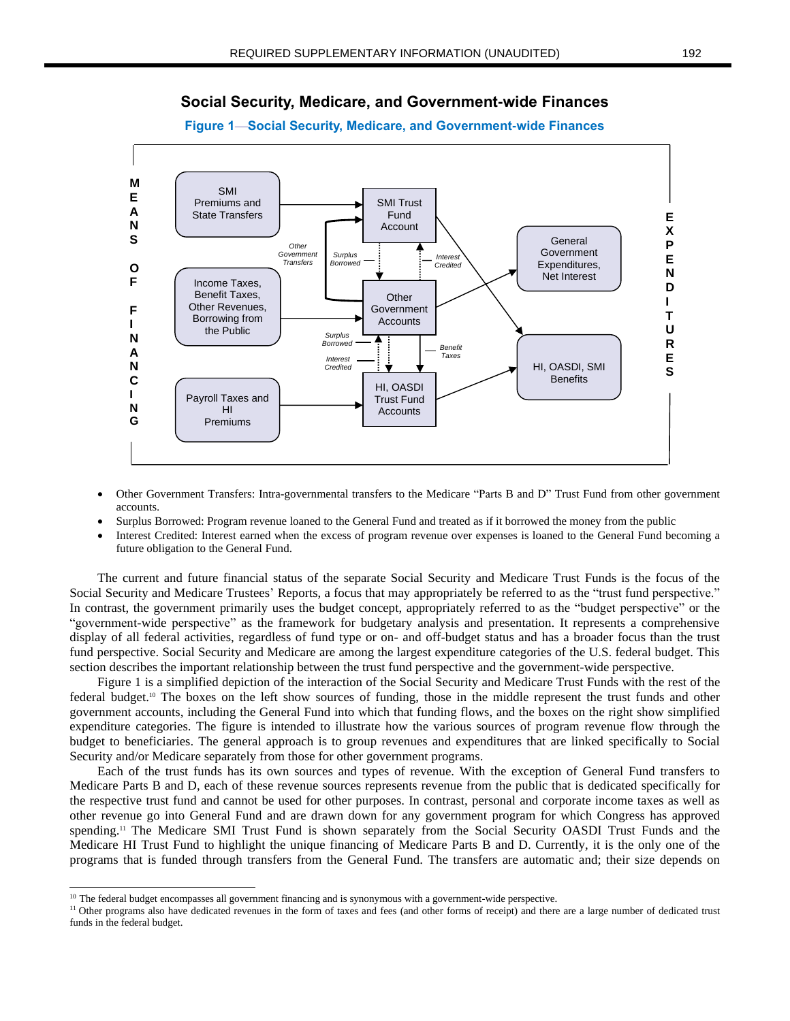

## **Social Security, Medicare, and Government-wide Finances**

- Other Government Transfers: Intra-governmental transfers to the Medicare "Parts B and D" Trust Fund from other government accounts.
- Surplus Borrowed: Program revenue loaned to the General Fund and treated as if it borrowed the money from the public
- Interest Credited: Interest earned when the excess of program revenue over expenses is loaned to the General Fund becoming a future obligation to the General Fund.

The current and future financial status of the separate Social Security and Medicare Trust Funds is the focus of the Social Security and Medicare Trustees' Reports, a focus that may appropriately be referred to as the "trust fund perspective." In contrast, the government primarily uses the budget concept, appropriately referred to as the "budget perspective" or the "government-wide perspective" as the framework for budgetary analysis and presentation. It represents a comprehensive display of all federal activities, regardless of fund type or on- and off-budget status and has a broader focus than the trust fund perspective. Social Security and Medicare are among the largest expenditure categories of the U.S. federal budget. This section describes the important relationship between the trust fund perspective and the government-wide perspective.

Figure 1 is a simplified depiction of the interaction of the Social Security and Medicare Trust Funds with the rest of the federal budget.<sup>10</sup> The boxes on the left show sources of funding, those in the middle represent the trust funds and other government accounts, including the General Fund into which that funding flows, and the boxes on the right show simplified expenditure categories. The figure is intended to illustrate how the various sources of program revenue flow through the budget to beneficiaries. The general approach is to group revenues and expenditures that are linked specifically to Social Security and/or Medicare separately from those for other government programs.

Each of the trust funds has its own sources and types of revenue. With the exception of General Fund transfers to Medicare Parts B and D, each of these revenue sources represents revenue from the public that is dedicated specifically for the respective trust fund and cannot be used for other purposes. In contrast, personal and corporate income taxes as well as other revenue go into General Fund and are drawn down for any government program for which Congress has approved spending.<sup>11</sup> The Medicare SMI Trust Fund is shown separately from the Social Security OASDI Trust Funds and the Medicare HI Trust Fund to highlight the unique financing of Medicare Parts B and D. Currently, it is the only one of the programs that is funded through transfers from the General Fund. The transfers are automatic and; their size depends on

 $10$  The federal budget encompasses all government financing and is synonymous with a government-wide perspective.

<sup>&</sup>lt;sup>11</sup> Other programs also have dedicated revenues in the form of taxes and fees (and other forms of receipt) and there are a large number of dedicated trust funds in the federal budget.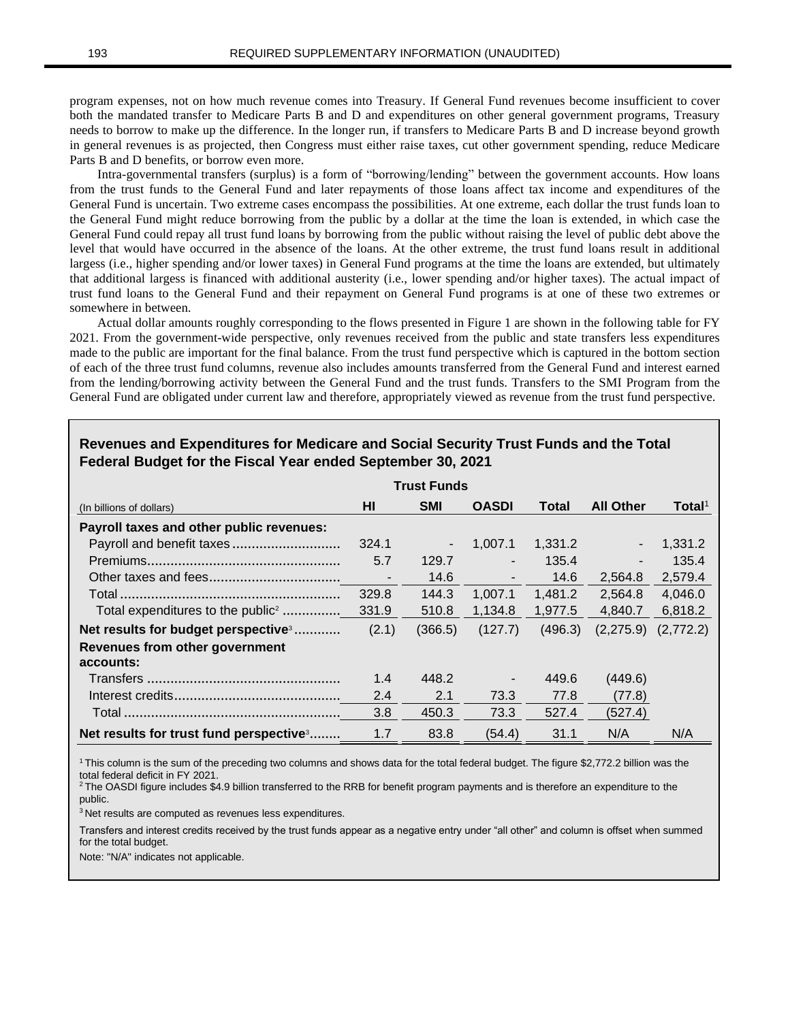program expenses, not on how much revenue comes into Treasury. If General Fund revenues become insufficient to cover both the mandated transfer to Medicare Parts B and D and expenditures on other general government programs, Treasury needs to borrow to make up the difference. In the longer run, if transfers to Medicare Parts B and D increase beyond growth in general revenues is as projected, then Congress must either raise taxes, cut other government spending, reduce Medicare Parts B and D benefits, or borrow even more.

Intra-governmental transfers (surplus) is a form of "borrowing/lending" between the government accounts. How loans from the trust funds to the General Fund and later repayments of those loans affect tax income and expenditures of the General Fund is uncertain. Two extreme cases encompass the possibilities. At one extreme, each dollar the trust funds loan to the General Fund might reduce borrowing from the public by a dollar at the time the loan is extended, in which case the General Fund could repay all trust fund loans by borrowing from the public without raising the level of public debt above the level that would have occurred in the absence of the loans. At the other extreme, the trust fund loans result in additional largess (i.e., higher spending and/or lower taxes) in General Fund programs at the time the loans are extended, but ultimately that additional largess is financed with additional austerity (i.e., lower spending and/or higher taxes). The actual impact of trust fund loans to the General Fund and their repayment on General Fund programs is at one of these two extremes or somewhere in between.

Actual dollar amounts roughly corresponding to the flows presented in Figure 1 are shown in the following table for FY 2021. From the government-wide perspective, only revenues received from the public and state transfers less expenditures made to the public are important for the final balance. From the trust fund perspective which is captured in the bottom section of each of the three trust fund columns, revenue also includes amounts transferred from the General Fund and interest earned from the lending/borrowing activity between the General Fund and the trust funds. Transfers to the SMI Program from the General Fund are obligated under current law and therefore, appropriately viewed as revenue from the trust fund perspective.

| <b>Trust Funds</b>                              |       |                |                          |         |                  |                         |  |
|-------------------------------------------------|-------|----------------|--------------------------|---------|------------------|-------------------------|--|
| (In billions of dollars)                        | HI    | <b>SMI</b>     | <b>OASDI</b>             | Total   | <b>All Other</b> | Total <sup>1</sup>      |  |
| Payroll taxes and other public revenues:        |       |                |                          |         |                  |                         |  |
|                                                 | 324.1 | $\blacksquare$ | 1,007.1                  | 1,331.2 |                  | 1,331.2                 |  |
|                                                 | 5.7   | 129.7          |                          | 135.4   |                  | 135.4                   |  |
|                                                 |       | 14.6           | $\overline{\phantom{a}}$ | 14.6    | 2,564.8          | 2,579.4                 |  |
|                                                 | 329.8 | 144.3          | 1,007.1                  | 1,481.2 | 2.564.8          | 4,046.0                 |  |
| Total expenditures to the public <sup>2</sup>   | 331.9 | 510.8          | 1,134.8                  | 1,977.5 | 4,840.7          | 6,818.2                 |  |
| Net results for budget perspective <sup>3</sup> | (2.1) | (366.5)        | (127.7)                  | (496.3) |                  | $(2,275.9)$ $(2,772.2)$ |  |
| Revenues from other government                  |       |                |                          |         |                  |                         |  |
| accounts:                                       |       |                |                          |         |                  |                         |  |
|                                                 | 1.4   | 448.2          | $\blacksquare$           | 449.6   | (449.6)          |                         |  |
|                                                 | 2.4   | 2.1            | 73.3                     | 77.8    | (77.8)           |                         |  |
|                                                 | 3.8   | 450.3          | 73.3                     | 527.4   | (527.4)          |                         |  |
| Net results for trust fund perspective 3        | 1.7   | 83.8           | (54.4)                   | 31.1    | N/A              | N/A                     |  |

## **Revenues and Expenditures for Medicare and Social Security Trust Funds and the Total Federal Budget for the Fiscal Year ended September 30, 2021**

<sup>1</sup>This column is the sum of the preceding two columns and shows data for the total federal budget. The figure \$2,772.2 billion was the total federal deficit in FY 2021.

<sup>2</sup> The OASDI figure includes \$4.9 billion transferred to the RRB for benefit program payments and is therefore an expenditure to the public.

<sup>3</sup> Net results are computed as revenues less expenditures.

Transfers and interest credits received by the trust funds appear as a negative entry under "all other" and column is offset when summed for the total budget.

Note: "N/A" indicates not applicable.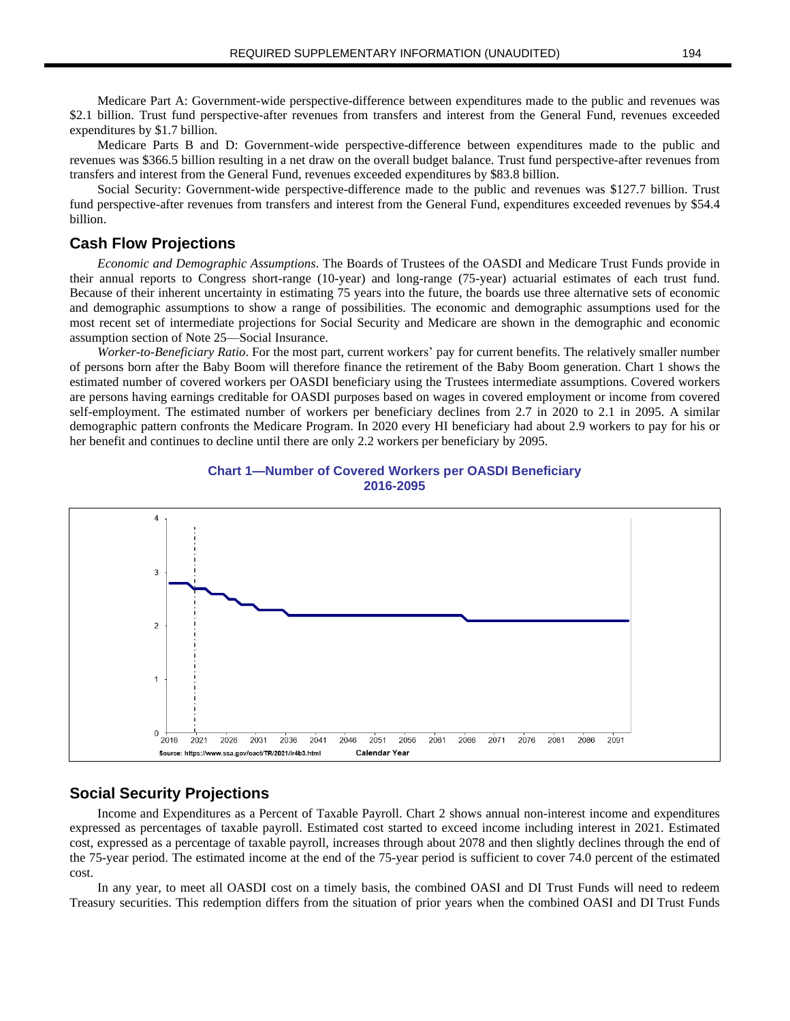Medicare Part A: Government-wide perspective-difference between expenditures made to the public and revenues was \$2.1 billion. Trust fund perspective-after revenues from transfers and interest from the General Fund, revenues exceeded expenditures by \$1.7 billion.

Medicare Parts B and D: Government-wide perspective-difference between expenditures made to the public and revenues was \$366.5 billion resulting in a net draw on the overall budget balance. Trust fund perspective-after revenues from transfers and interest from the General Fund, revenues exceeded expenditures by \$83.8 billion.

Social Security: Government-wide perspective-difference made to the public and revenues was \$127.7 billion. Trust fund perspective-after revenues from transfers and interest from the General Fund, expenditures exceeded revenues by \$54.4 billion.

### **Cash Flow Projections**

*Economic and Demographic Assumptions*. The Boards of Trustees of the OASDI and Medicare Trust Funds provide in their annual reports to Congress short-range (10-year) and long-range (75-year) actuarial estimates of each trust fund. Because of their inherent uncertainty in estimating 75 years into the future, the boards use three alternative sets of economic and demographic assumptions to show a range of possibilities. The economic and demographic assumptions used for the most recent set of intermediate projections for Social Security and Medicare are shown in the demographic and economic assumption section of Note 25—Social Insurance.

*Worker-to-Beneficiary Ratio*. For the most part, current workers' pay for current benefits. The relatively smaller number of persons born after the Baby Boom will therefore finance the retirement of the Baby Boom generation. Chart 1 shows the estimated number of covered workers per OASDI beneficiary using the Trustees intermediate assumptions. Covered workers are persons having earnings creditable for OASDI purposes based on wages in covered employment or income from covered self-employment. The estimated number of workers per beneficiary declines from 2.7 in 2020 to 2.1 in 2095. A similar demographic pattern confronts the Medicare Program. In 2020 every HI beneficiary had about 2.9 workers to pay for his or her benefit and continues to decline until there are only 2.2 workers per beneficiary by 2095.





### **Social Security Projections**

Income and Expenditures as a Percent of Taxable Payroll. Chart 2 shows annual non-interest income and expenditures expressed as percentages of taxable payroll. Estimated cost started to exceed income including interest in 2021. Estimated cost, expressed as a percentage of taxable payroll, increases through about 2078 and then slightly declines through the end of the 75-year period. The estimated income at the end of the 75-year period is sufficient to cover 74.0 percent of the estimated cost.

In any year, to meet all OASDI cost on a timely basis, the combined OASI and DI Trust Funds will need to redeem Treasury securities. This redemption differs from the situation of prior years when the combined OASI and DI Trust Funds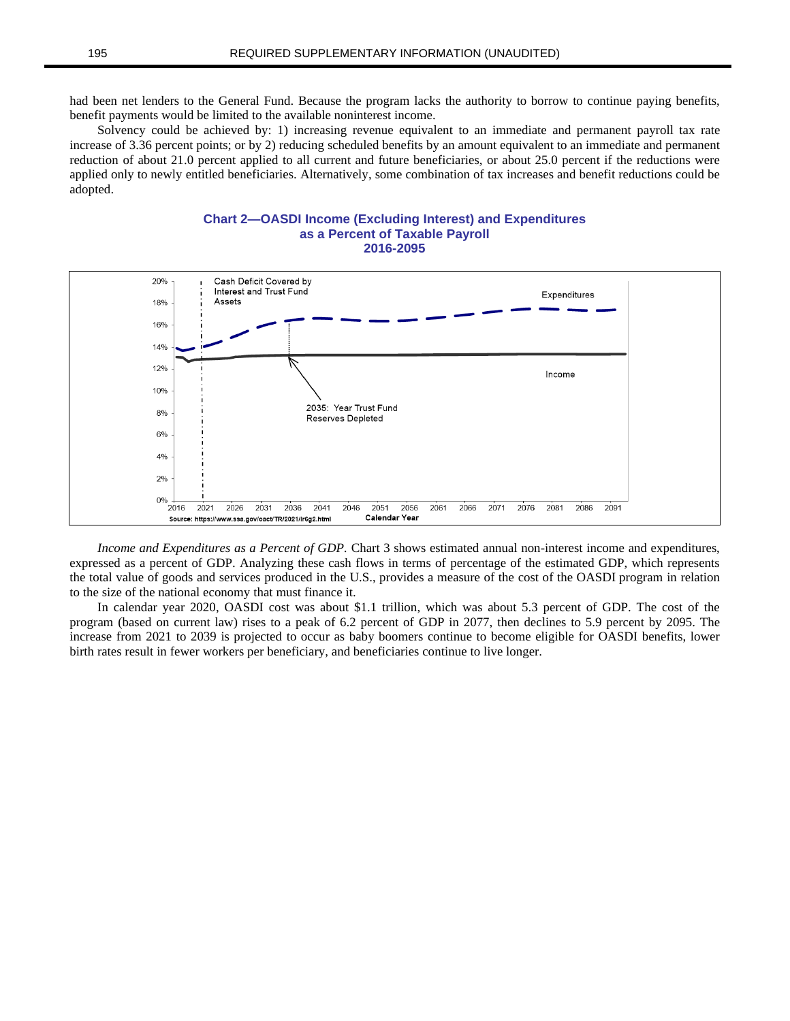had been net lenders to the General Fund. Because the program lacks the authority to borrow to continue paying benefits, benefit payments would be limited to the available noninterest income.

Solvency could be achieved by: 1) increasing revenue equivalent to an immediate and permanent payroll tax rate increase of 3.36 percent points; or by 2) reducing scheduled benefits by an amount equivalent to an immediate and permanent reduction of about 21.0 percent applied to all current and future beneficiaries, or about 25.0 percent if the reductions were applied only to newly entitled beneficiaries. Alternatively, some combination of tax increases and benefit reductions could be adopted.





*Income and Expenditures as a Percent of GDP.* Chart 3 shows estimated annual non-interest income and expenditures, expressed as a percent of GDP. Analyzing these cash flows in terms of percentage of the estimated GDP, which represents the total value of goods and services produced in the U.S., provides a measure of the cost of the OASDI program in relation to the size of the national economy that must finance it.

In calendar year 2020, OASDI cost was about \$1.1 trillion, which was about 5.3 percent of GDP. The cost of the program (based on current law) rises to a peak of 6.2 percent of GDP in 2077, then declines to 5.9 percent by 2095. The increase from 2021 to 2039 is projected to occur as baby boomers continue to become eligible for OASDI benefits, lower birth rates result in fewer workers per beneficiary, and beneficiaries continue to live longer.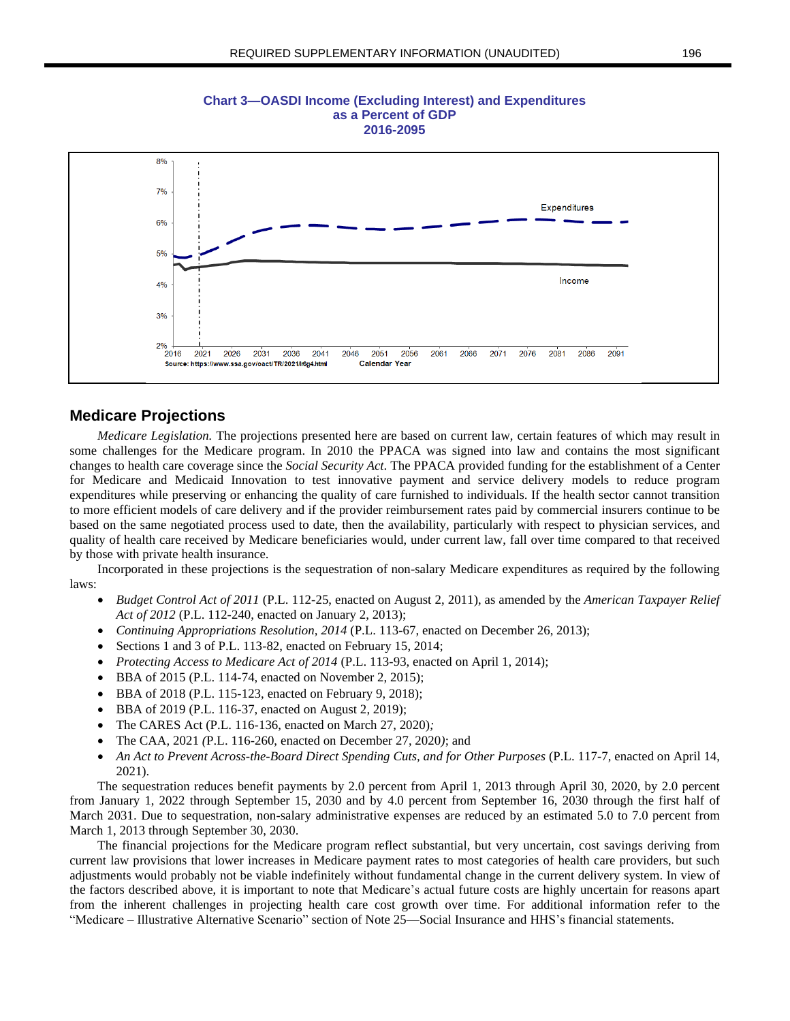

**Chart 3—OASDI Income (Excluding Interest) and Expenditures as a Percent of GDP 2016-2095**

#### **Medicare Projections**

*Medicare Legislation.* The projections presented here are based on current law, certain features of which may result in some challenges for the Medicare program. In 2010 the PPACA was signed into law and contains the most significant changes to health care coverage since the *Social Security Act*. The PPACA provided funding for the establishment of a Center for Medicare and Medicaid Innovation to test innovative payment and service delivery models to reduce program expenditures while preserving or enhancing the quality of care furnished to individuals. If the health sector cannot transition to more efficient models of care delivery and if the provider reimbursement rates paid by commercial insurers continue to be based on the same negotiated process used to date, then the availability, particularly with respect to physician services, and quality of health care received by Medicare beneficiaries would, under current law, fall over time compared to that received by those with private health insurance.

Incorporated in these projections is the sequestration of non-salary Medicare expenditures as required by the following laws:

- *Budget Control Act of 2011* (P.L. 112-25, enacted on August 2, 2011), as amended by the *American Taxpayer Relief Act of 2012* (P.L. 112-240, enacted on January 2, 2013);
- *Continuing Appropriations Resolution, 2014* (P.L. 113-67, enacted on December 26, 2013);
- Sections 1 and 3 of P.L. 113-82, enacted on February 15, 2014;
- *Protecting Access to Medicare Act of 2014* (P.L. 113-93, enacted on April 1, 2014);
- BBA of 2015 (P.L. 114-74, enacted on November 2, 2015);
- BBA of 2018 (P.L. 115-123, enacted on February 9, 2018);
- BBA of 2019 (P.L. 116-37, enacted on August 2, 2019);
- The CARES Act (P.L. 116-136, enacted on March 27, 2020)*;*
- The CAA*,* 2021 *(*P.L. 116-260, enacted on December 27, 2020*)*; and
- *An Act to Prevent Across-the-Board Direct Spending Cuts, and for Other Purposes* (P.L. 117-7, enacted on April 14, 2021).

The sequestration reduces benefit payments by 2.0 percent from April 1, 2013 through April 30, 2020, by 2.0 percent from January 1, 2022 through September 15, 2030 and by 4.0 percent from September 16, 2030 through the first half of March 2031. Due to sequestration, non-salary administrative expenses are reduced by an estimated 5.0 to 7.0 percent from March 1, 2013 through September 30, 2030.

The financial projections for the Medicare program reflect substantial, but very uncertain, cost savings deriving from current law provisions that lower increases in Medicare payment rates to most categories of health care providers, but such adjustments would probably not be viable indefinitely without fundamental change in the current delivery system. In view of the factors described above, it is important to note that Medicare's actual future costs are highly uncertain for reasons apart from the inherent challenges in projecting health care cost growth over time. For additional information refer to the "Medicare – Illustrative Alternative Scenario" section of Note 25—Social Insurance and HHS's financial statements.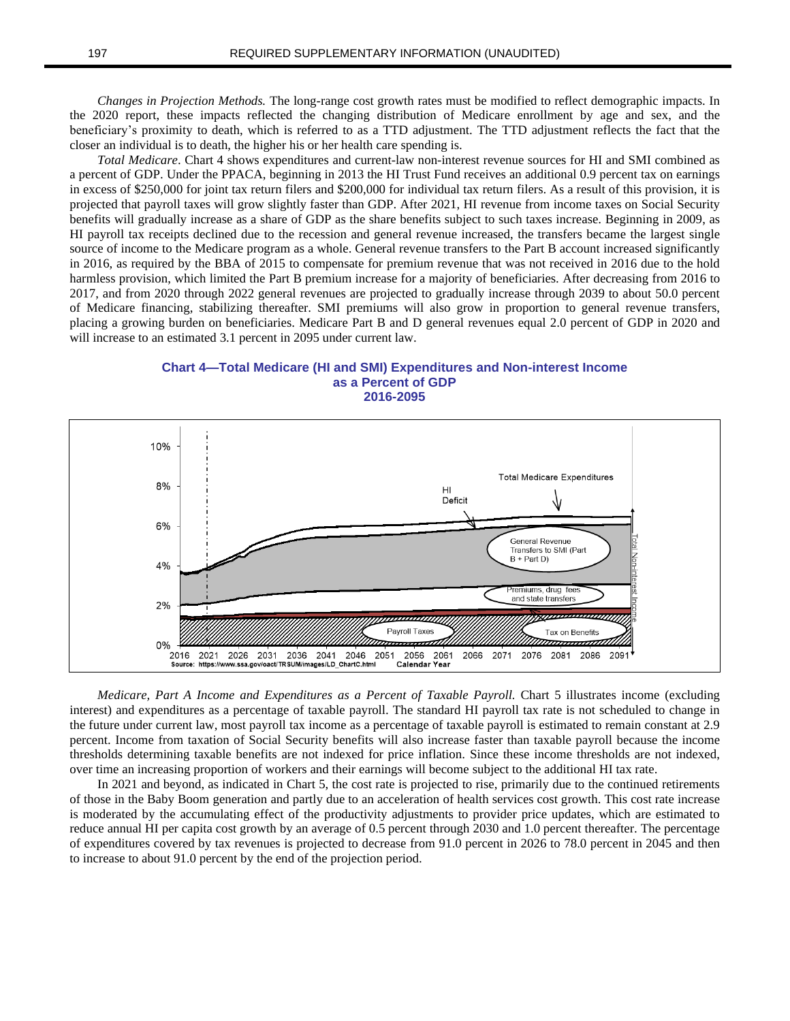*Changes in Projection Methods.* The long-range cost growth rates must be modified to reflect demographic impacts. In the 2020 report, these impacts reflected the changing distribution of Medicare enrollment by age and sex, and the beneficiary's proximity to death, which is referred to as a TTD adjustment. The TTD adjustment reflects the fact that the closer an individual is to death, the higher his or her health care spending is.

*Total Medicare*. Chart 4 shows expenditures and current-law non-interest revenue sources for HI and SMI combined as a percent of GDP. Under the PPACA, beginning in 2013 the HI Trust Fund receives an additional 0.9 percent tax on earnings in excess of \$250,000 for joint tax return filers and \$200,000 for individual tax return filers. As a result of this provision, it is projected that payroll taxes will grow slightly faster than GDP. After 2021, HI revenue from income taxes on Social Security benefits will gradually increase as a share of GDP as the share benefits subject to such taxes increase. Beginning in 2009, as HI payroll tax receipts declined due to the recession and general revenue increased, the transfers became the largest single source of income to the Medicare program as a whole. General revenue transfers to the Part B account increased significantly in 2016, as required by the BBA of 2015 to compensate for premium revenue that was not received in 2016 due to the hold harmless provision, which limited the Part B premium increase for a majority of beneficiaries. After decreasing from 2016 to 2017, and from 2020 through 2022 general revenues are projected to gradually increase through 2039 to about 50.0 percent of Medicare financing, stabilizing thereafter. SMI premiums will also grow in proportion to general revenue transfers, placing a growing burden on beneficiaries. Medicare Part B and D general revenues equal 2.0 percent of GDP in 2020 and will increase to an estimated 3.1 percent in 2095 under current law.





*Medicare, Part A Income and Expenditures as a Percent of Taxable Payroll.* Chart 5 illustrates income (excluding interest) and expenditures as a percentage of taxable payroll. The standard HI payroll tax rate is not scheduled to change in the future under current law, most payroll tax income as a percentage of taxable payroll is estimated to remain constant at 2.9 percent. Income from taxation of Social Security benefits will also increase faster than taxable payroll because the income thresholds determining taxable benefits are not indexed for price inflation. Since these income thresholds are not indexed, over time an increasing proportion of workers and their earnings will become subject to the additional HI tax rate.

In 2021 and beyond, as indicated in Chart 5, the cost rate is projected to rise, primarily due to the continued retirements of those in the Baby Boom generation and partly due to an acceleration of health services cost growth. This cost rate increase is moderated by the accumulating effect of the productivity adjustments to provider price updates, which are estimated to reduce annual HI per capita cost growth by an average of 0.5 percent through 2030 and 1.0 percent thereafter. The percentage of expenditures covered by tax revenues is projected to decrease from 91.0 percent in 2026 to 78.0 percent in 2045 and then to increase to about 91.0 percent by the end of the projection period.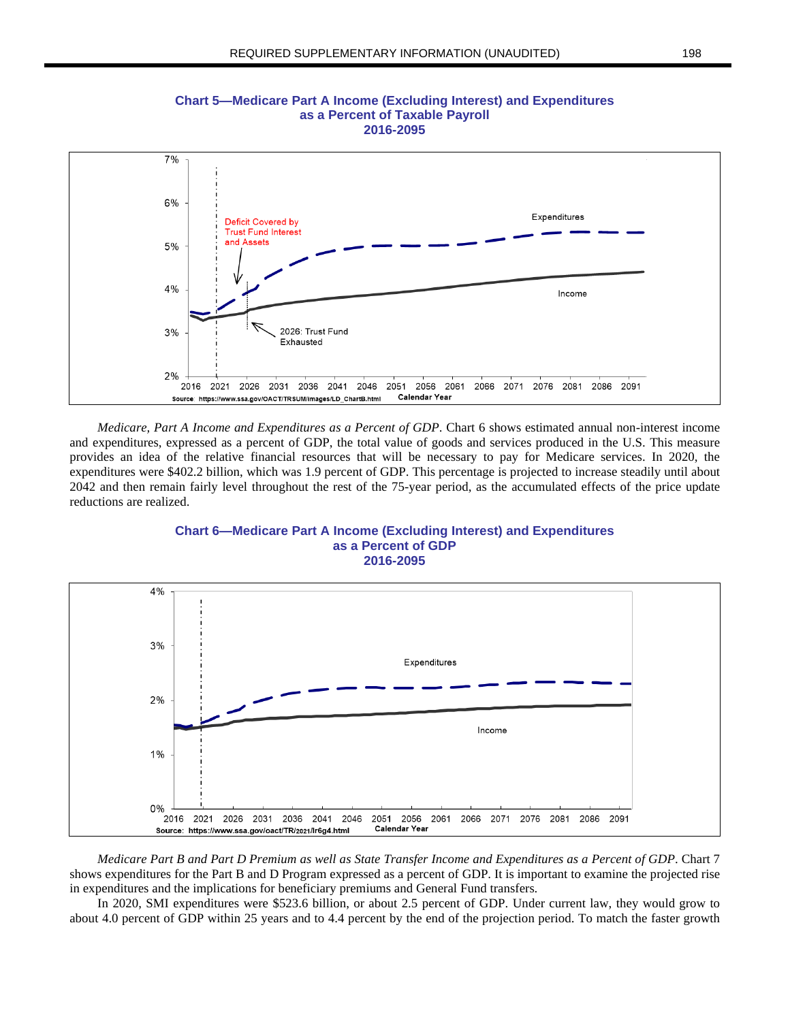

**Chart 5—Medicare Part A Income (Excluding Interest) and Expenditures as a Percent of Taxable Payroll 2016-2095**

*Medicare, Part A Income and Expenditures as a Percent of GDP*. Chart 6 shows estimated annual non-interest income and expenditures, expressed as a percent of GDP, the total value of goods and services produced in the U.S. This measure provides an idea of the relative financial resources that will be necessary to pay for Medicare services. In 2020, the expenditures were \$402.2 billion, which was 1.9 percent of GDP. This percentage is projected to increase steadily until about 2042 and then remain fairly level throughout the rest of the 75-year period, as the accumulated effects of the price update reductions are realized.



**Chart 6—Medicare Part A Income (Excluding Interest) and Expenditures as a Percent of GDP 2016-2095**

Medicare Part B and Part D Premium as well as State Transfer Income and Expenditures as a Percent of GDP. Chart 7 shows expenditures for the Part B and D Program expressed as a percent of GDP. It is important to examine the projected rise in expenditures and the implications for beneficiary premiums and General Fund transfers.

In 2020, SMI expenditures were \$523.6 billion, or about 2.5 percent of GDP. Under current law, they would grow to about 4.0 percent of GDP within 25 years and to 4.4 percent by the end of the projection period. To match the faster growth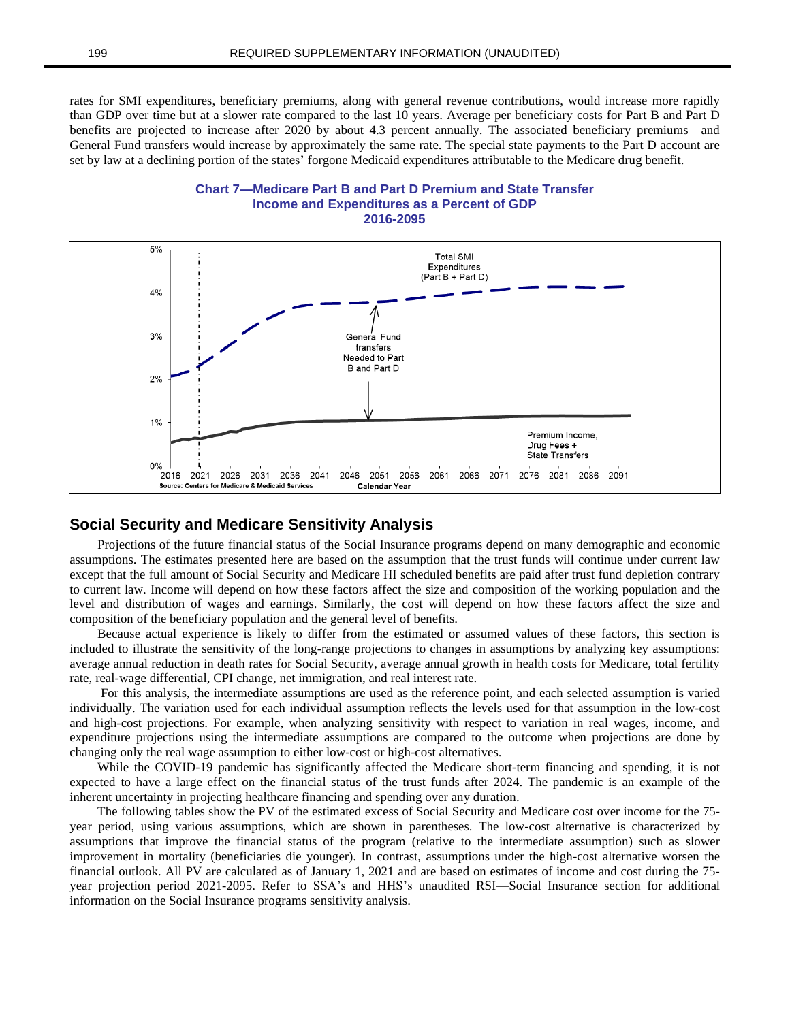rates for SMI expenditures, beneficiary premiums, along with general revenue contributions, would increase more rapidly than GDP over time but at a slower rate compared to the last 10 years. Average per beneficiary costs for Part B and Part D benefits are projected to increase after 2020 by about 4.3 percent annually. The associated beneficiary premiums—and General Fund transfers would increase by approximately the same rate. The special state payments to the Part D account are set by law at a declining portion of the states' forgone Medicaid expenditures attributable to the Medicare drug benefit.





### **Social Security and Medicare Sensitivity Analysis**

Projections of the future financial status of the Social Insurance programs depend on many demographic and economic assumptions. The estimates presented here are based on the assumption that the trust funds will continue under current law except that the full amount of Social Security and Medicare HI scheduled benefits are paid after trust fund depletion contrary to current law. Income will depend on how these factors affect the size and composition of the working population and the level and distribution of wages and earnings. Similarly, the cost will depend on how these factors affect the size and composition of the beneficiary population and the general level of benefits.

Because actual experience is likely to differ from the estimated or assumed values of these factors, this section is included to illustrate the sensitivity of the long-range projections to changes in assumptions by analyzing key assumptions: average annual reduction in death rates for Social Security, average annual growth in health costs for Medicare, total fertility rate, real-wage differential, CPI change, net immigration, and real interest rate.

For this analysis, the intermediate assumptions are used as the reference point, and each selected assumption is varied individually. The variation used for each individual assumption reflects the levels used for that assumption in the low-cost and high-cost projections. For example, when analyzing sensitivity with respect to variation in real wages, income, and expenditure projections using the intermediate assumptions are compared to the outcome when projections are done by changing only the real wage assumption to either low-cost or high-cost alternatives.

While the COVID-19 pandemic has significantly affected the Medicare short-term financing and spending, it is not expected to have a large effect on the financial status of the trust funds after 2024. The pandemic is an example of the inherent uncertainty in projecting healthcare financing and spending over any duration.

The following tables show the PV of the estimated excess of Social Security and Medicare cost over income for the 75 year period, using various assumptions, which are shown in parentheses. The low-cost alternative is characterized by assumptions that improve the financial status of the program (relative to the intermediate assumption) such as slower improvement in mortality (beneficiaries die younger). In contrast, assumptions under the high-cost alternative worsen the financial outlook. All PV are calculated as of January 1, 2021 and are based on estimates of income and cost during the 75 year projection period 2021-2095. Refer to SSA's and HHS's unaudited RSI—Social Insurance section for additional information on the Social Insurance programs sensitivity analysis.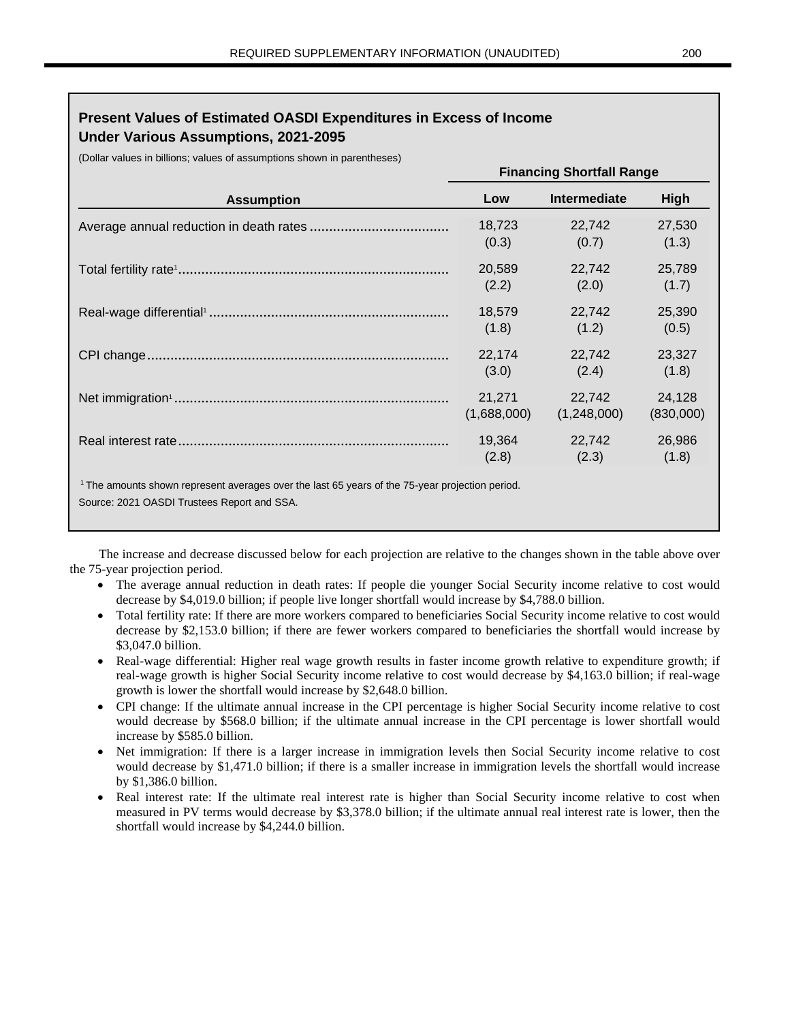## **Present Values of Estimated OASDI Expenditures in Excess of Income Under Various Assumptions, 2021-2095**

(Dollar values in billions; values of assumptions shown in parentheses)

|                   | <b>Financing Shortfall Range</b> |              |           |  |  |  |
|-------------------|----------------------------------|--------------|-----------|--|--|--|
| <b>Assumption</b> | Low                              | Intermediate | High      |  |  |  |
|                   | 18,723                           | 22,742       | 27,530    |  |  |  |
|                   | (0.3)                            | (0.7)        | (1.3)     |  |  |  |
|                   | 20,589                           | 22,742       | 25,789    |  |  |  |
|                   | (2.2)                            | (2.0)        | (1.7)     |  |  |  |
|                   | 18,579                           | 22,742       | 25,390    |  |  |  |
|                   | (1.8)                            | (1.2)        | (0.5)     |  |  |  |
|                   | 22,174                           | 22,742       | 23,327    |  |  |  |
|                   | (3.0)                            | (2.4)        | (1.8)     |  |  |  |
|                   | 21,271                           | 22,742       | 24,128    |  |  |  |
|                   | (1,688,000)                      | (1,248,000)  | (830,000) |  |  |  |
|                   | 19,364                           | 22,742       | 26,986    |  |  |  |
|                   | (2.8)                            | (2.3)        | (1.8)     |  |  |  |

The increase and decrease discussed below for each projection are relative to the changes shown in the table above over the 75-year projection period.

- The average annual reduction in death rates: If people die younger Social Security income relative to cost would decrease by \$4,019.0 billion; if people live longer shortfall would increase by \$4,788.0 billion.
- Total fertility rate: If there are more workers compared to beneficiaries Social Security income relative to cost would decrease by \$2,153.0 billion; if there are fewer workers compared to beneficiaries the shortfall would increase by \$3,047.0 billion.
- Real-wage differential: Higher real wage growth results in faster income growth relative to expenditure growth; if real-wage growth is higher Social Security income relative to cost would decrease by \$4,163.0 billion; if real-wage growth is lower the shortfall would increase by \$2,648.0 billion.
- CPI change: If the ultimate annual increase in the CPI percentage is higher Social Security income relative to cost would decrease by \$568.0 billion; if the ultimate annual increase in the CPI percentage is lower shortfall would increase by \$585.0 billion.
- Net immigration: If there is a larger increase in immigration levels then Social Security income relative to cost would decrease by \$1,471.0 billion; if there is a smaller increase in immigration levels the shortfall would increase by \$1,386.0 billion.
- Real interest rate: If the ultimate real interest rate is higher than Social Security income relative to cost when measured in PV terms would decrease by \$3,378.0 billion; if the ultimate annual real interest rate is lower, then the shortfall would increase by \$4,244.0 billion.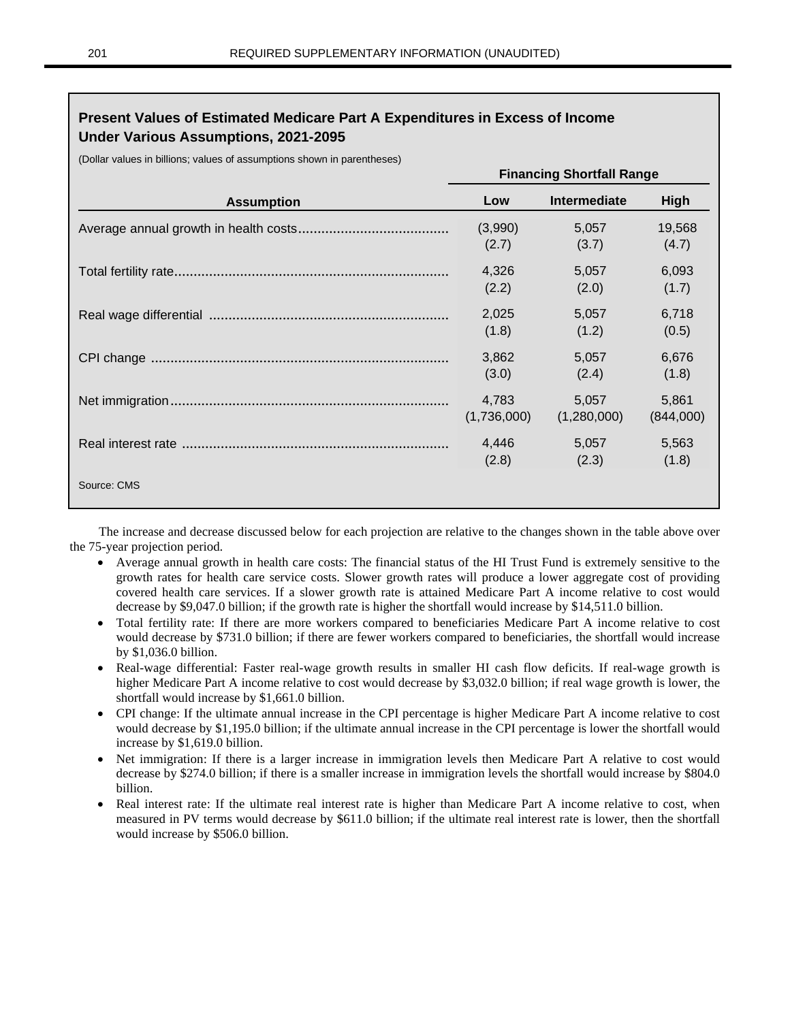## **Present Values of Estimated Medicare Part A Expenditures in Excess of Income Under Various Assumptions, 2021-2095**

(Dollar values in billions; values of assumptions shown in parentheses)

|                   | <b>Financing Shortfall Range</b> |              |             |  |  |  |
|-------------------|----------------------------------|--------------|-------------|--|--|--|
| <b>Assumption</b> | Low                              | Intermediate | <b>High</b> |  |  |  |
|                   | (3,990)                          | 5,057        | 19,568      |  |  |  |
|                   | (2.7)                            | (3.7)        | (4.7)       |  |  |  |
|                   | 4,326                            | 5,057        | 6,093       |  |  |  |
|                   | (2.2)                            | (2.0)        | (1.7)       |  |  |  |
|                   | 2,025                            | 5,057        | 6,718       |  |  |  |
|                   | (1.8)                            | (1.2)        | (0.5)       |  |  |  |
|                   | 3,862                            | 5,057        | 6,676       |  |  |  |
|                   | (3.0)                            | (2.4)        | (1.8)       |  |  |  |
|                   | 4,783                            | 5,057        | 5,861       |  |  |  |
|                   | (1,736,000)                      | (1,280,000)  | (844,000)   |  |  |  |
|                   | 4,446                            | 5,057        | 5,563       |  |  |  |
|                   | (2.8)                            | (2.3)        | (1.8)       |  |  |  |
| Source: CMS       |                                  |              |             |  |  |  |
|                   |                                  |              |             |  |  |  |

The increase and decrease discussed below for each projection are relative to the changes shown in the table above over the 75-year projection period.

- Average annual growth in health care costs: The financial status of the HI Trust Fund is extremely sensitive to the growth rates for health care service costs. Slower growth rates will produce a lower aggregate cost of providing covered health care services. If a slower growth rate is attained Medicare Part A income relative to cost would decrease by \$9,047.0 billion; if the growth rate is higher the shortfall would increase by \$14,511.0 billion.
- Total fertility rate: If there are more workers compared to beneficiaries Medicare Part A income relative to cost would decrease by \$731.0 billion; if there are fewer workers compared to beneficiaries, the shortfall would increase by \$1,036.0 billion.
- Real-wage differential: Faster real-wage growth results in smaller HI cash flow deficits. If real-wage growth is higher Medicare Part A income relative to cost would decrease by \$3,032.0 billion; if real wage growth is lower, the shortfall would increase by \$1,661.0 billion.
- CPI change: If the ultimate annual increase in the CPI percentage is higher Medicare Part A income relative to cost would decrease by \$1,195.0 billion; if the ultimate annual increase in the CPI percentage is lower the shortfall would increase by \$1,619.0 billion.
- Net immigration: If there is a larger increase in immigration levels then Medicare Part A relative to cost would decrease by \$274.0 billion; if there is a smaller increase in immigration levels the shortfall would increase by \$804.0 billion.
- Real interest rate: If the ultimate real interest rate is higher than Medicare Part A income relative to cost, when measured in PV terms would decrease by \$611.0 billion; if the ultimate real interest rate is lower, then the shortfall would increase by \$506.0 billion.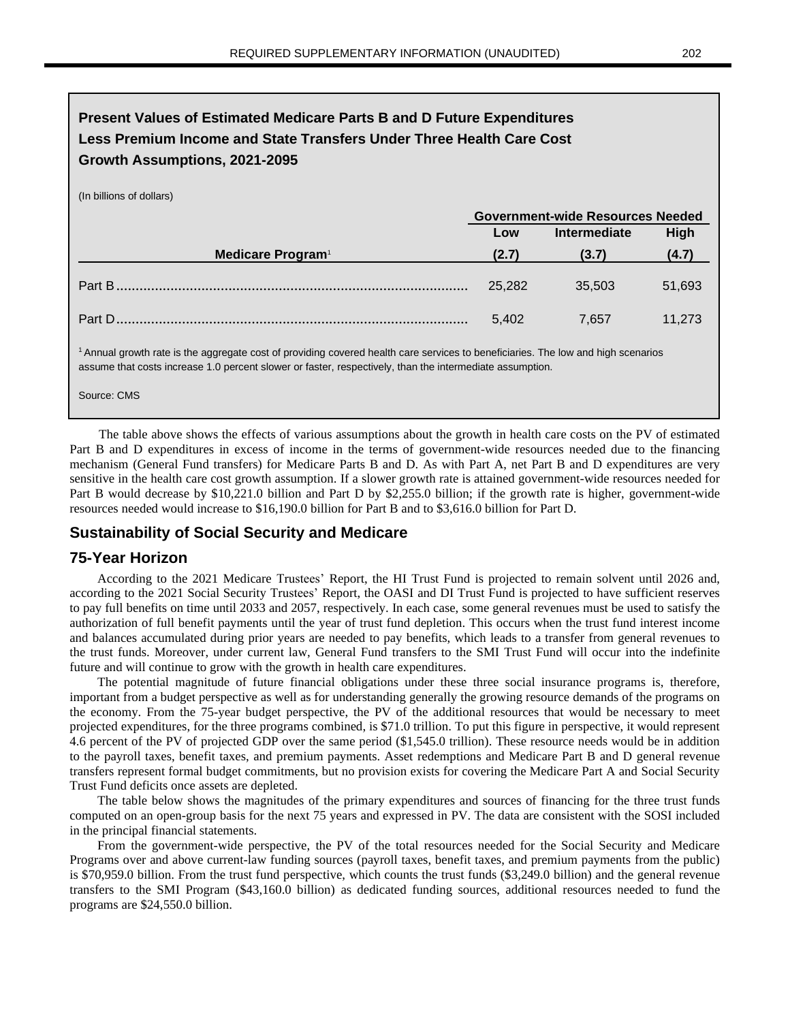## **Present Values of Estimated Medicare Parts B and D Future Expenditures Less Premium Income and State Transfers Under Three Health Care Cost Growth Assumptions, 2021-2095**

(In billions of dollars)

|                                                                                                                                              | <b>Government-wide Resources Needed</b> |                     |             |  |  |
|----------------------------------------------------------------------------------------------------------------------------------------------|-----------------------------------------|---------------------|-------------|--|--|
|                                                                                                                                              | Low                                     | <b>Intermediate</b> | <b>High</b> |  |  |
| Medicare Program <sup>1</sup>                                                                                                                | (2.7)                                   | (3.7)               | (4.7)       |  |  |
|                                                                                                                                              | 25.282                                  | 35.503              | 51,693      |  |  |
| Part D.                                                                                                                                      | 5.402                                   | 7.657               | 11,273      |  |  |
| <sup>1</sup> Annual growth rate is the aggregate cost of providing covered health care services to beneficiaries. The low and high scenarios |                                         |                     |             |  |  |

assume that costs increase 1.0 percent slower or faster, respectively, than the intermediate assumption.

Source: CMS

The table above shows the effects of various assumptions about the growth in health care costs on the PV of estimated Part B and D expenditures in excess of income in the terms of government-wide resources needed due to the financing mechanism (General Fund transfers) for Medicare Parts B and D. As with Part A, net Part B and D expenditures are very sensitive in the health care cost growth assumption. If a slower growth rate is attained government-wide resources needed for Part B would decrease by \$10,221.0 billion and Part D by \$2,255.0 billion; if the growth rate is higher, government-wide resources needed would increase to \$16,190.0 billion for Part B and to \$3,616.0 billion for Part D.

### **Sustainability of Social Security and Medicare**

#### **75-Year Horizon**

According to the 2021 Medicare Trustees' Report, the HI Trust Fund is projected to remain solvent until 2026 and, according to the 2021 Social Security Trustees' Report, the OASI and DI Trust Fund is projected to have sufficient reserves to pay full benefits on time until 2033 and 2057, respectively. In each case, some general revenues must be used to satisfy the authorization of full benefit payments until the year of trust fund depletion. This occurs when the trust fund interest income and balances accumulated during prior years are needed to pay benefits, which leads to a transfer from general revenues to the trust funds. Moreover, under current law, General Fund transfers to the SMI Trust Fund will occur into the indefinite future and will continue to grow with the growth in health care expenditures.

The potential magnitude of future financial obligations under these three social insurance programs is, therefore, important from a budget perspective as well as for understanding generally the growing resource demands of the programs on the economy. From the 75-year budget perspective, the PV of the additional resources that would be necessary to meet projected expenditures, for the three programs combined, is \$71.0 trillion. To put this figure in perspective, it would represent 4.6 percent of the PV of projected GDP over the same period (\$1,545.0 trillion). These resource needs would be in addition to the payroll taxes, benefit taxes, and premium payments. Asset redemptions and Medicare Part B and D general revenue transfers represent formal budget commitments, but no provision exists for covering the Medicare Part A and Social Security Trust Fund deficits once assets are depleted.

The table below shows the magnitudes of the primary expenditures and sources of financing for the three trust funds computed on an open-group basis for the next 75 years and expressed in PV. The data are consistent with the SOSI included in the principal financial statements.

From the government-wide perspective, the PV of the total resources needed for the Social Security and Medicare Programs over and above current-law funding sources (payroll taxes, benefit taxes, and premium payments from the public) is \$70,959.0 billion. From the trust fund perspective, which counts the trust funds (\$3,249.0 billion) and the general revenue transfers to the SMI Program (\$43,160.0 billion) as dedicated funding sources, additional resources needed to fund the programs are \$24,550.0 billion.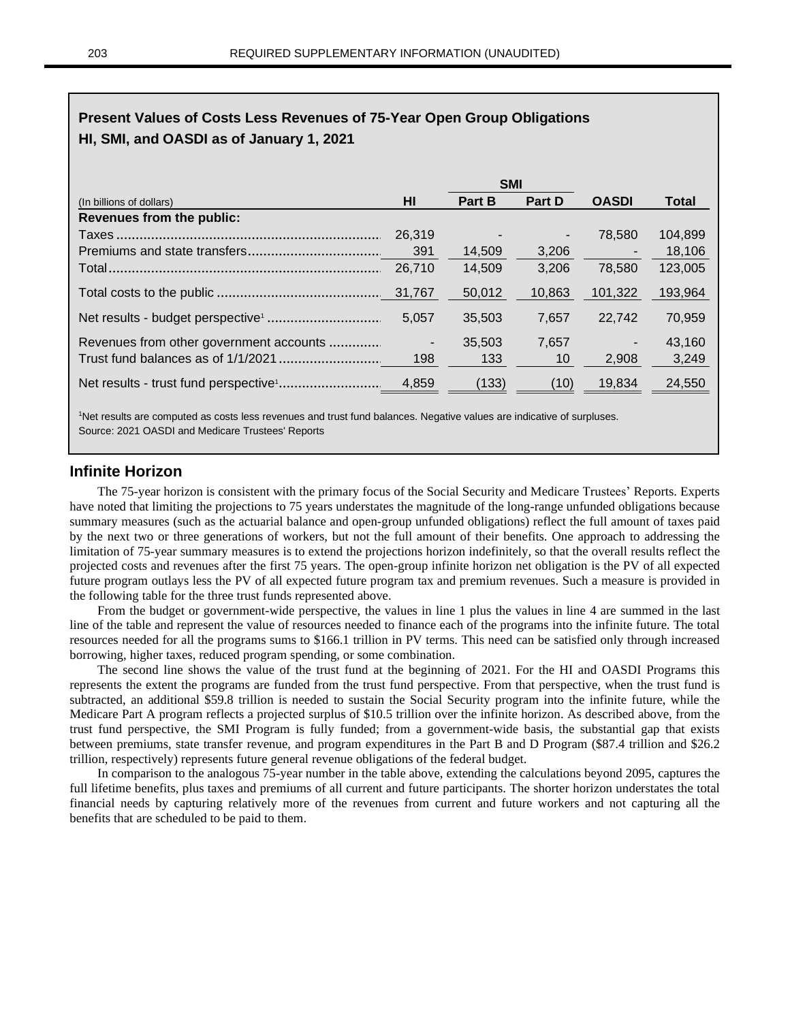## **Present Values of Costs Less Revenues of 75-Year Open Group Obligations HI, SMI, and OASDI as of January 1, 2021**

|                                         |                          | <b>SMI</b>    |                |                          |              |
|-----------------------------------------|--------------------------|---------------|----------------|--------------------------|--------------|
| (In billions of dollars)                | HI                       | <b>Part B</b> | <b>Part D</b>  | <b>OASDI</b>             | <b>Total</b> |
| <b>Revenues from the public:</b>        |                          |               |                |                          |              |
|                                         | 26,319                   |               | $\blacksquare$ | 78.580                   | 104.899      |
|                                         | 391                      | 14.509        | 3,206          |                          | 18,106       |
|                                         | 26,710                   | 14,509        | 3,206          | 78,580                   | 123,005      |
|                                         |                          | 50,012        | 10,863         | 101,322                  | 193,964      |
|                                         | 5,057                    | 35.503        | 7,657          | 22,742                   | 70,959       |
| Revenues from other government accounts | $\overline{\phantom{a}}$ | 35,503        | 7,657          | $\overline{\phantom{a}}$ | 43,160       |
|                                         | 198                      | 133           | 10             | 2,908                    | 3,249        |
|                                         | 4,859                    | (133)         | (10)           | 19,834                   | 24,550       |

<sup>1</sup>Net results are computed as costs less revenues and trust fund balances. Negative values are indicative of surpluses. Source: 2021 OASDI and Medicare Trustees' Reports

#### **Infinite Horizon**

The 75-year horizon is consistent with the primary focus of the Social Security and Medicare Trustees' Reports. Experts have noted that limiting the projections to 75 years understates the magnitude of the long-range unfunded obligations because summary measures (such as the actuarial balance and open-group unfunded obligations) reflect the full amount of taxes paid by the next two or three generations of workers, but not the full amount of their benefits. One approach to addressing the limitation of 75-year summary measures is to extend the projections horizon indefinitely, so that the overall results reflect the projected costs and revenues after the first 75 years. The open-group infinite horizon net obligation is the PV of all expected future program outlays less the PV of all expected future program tax and premium revenues. Such a measure is provided in the following table for the three trust funds represented above.

From the budget or government-wide perspective, the values in line 1 plus the values in line 4 are summed in the last line of the table and represent the value of resources needed to finance each of the programs into the infinite future. The total resources needed for all the programs sums to \$166.1 trillion in PV terms. This need can be satisfied only through increased borrowing, higher taxes, reduced program spending, or some combination.

The second line shows the value of the trust fund at the beginning of 2021. For the HI and OASDI Programs this represents the extent the programs are funded from the trust fund perspective. From that perspective, when the trust fund is subtracted, an additional \$59.8 trillion is needed to sustain the Social Security program into the infinite future, while the Medicare Part A program reflects a projected surplus of \$10.5 trillion over the infinite horizon. As described above, from the trust fund perspective, the SMI Program is fully funded; from a government-wide basis, the substantial gap that exists between premiums, state transfer revenue, and program expenditures in the Part B and D Program (\$87.4 trillion and \$26.2 trillion, respectively) represents future general revenue obligations of the federal budget.

In comparison to the analogous 75-year number in the table above, extending the calculations beyond 2095, captures the full lifetime benefits, plus taxes and premiums of all current and future participants. The shorter horizon understates the total financial needs by capturing relatively more of the revenues from current and future workers and not capturing all the benefits that are scheduled to be paid to them.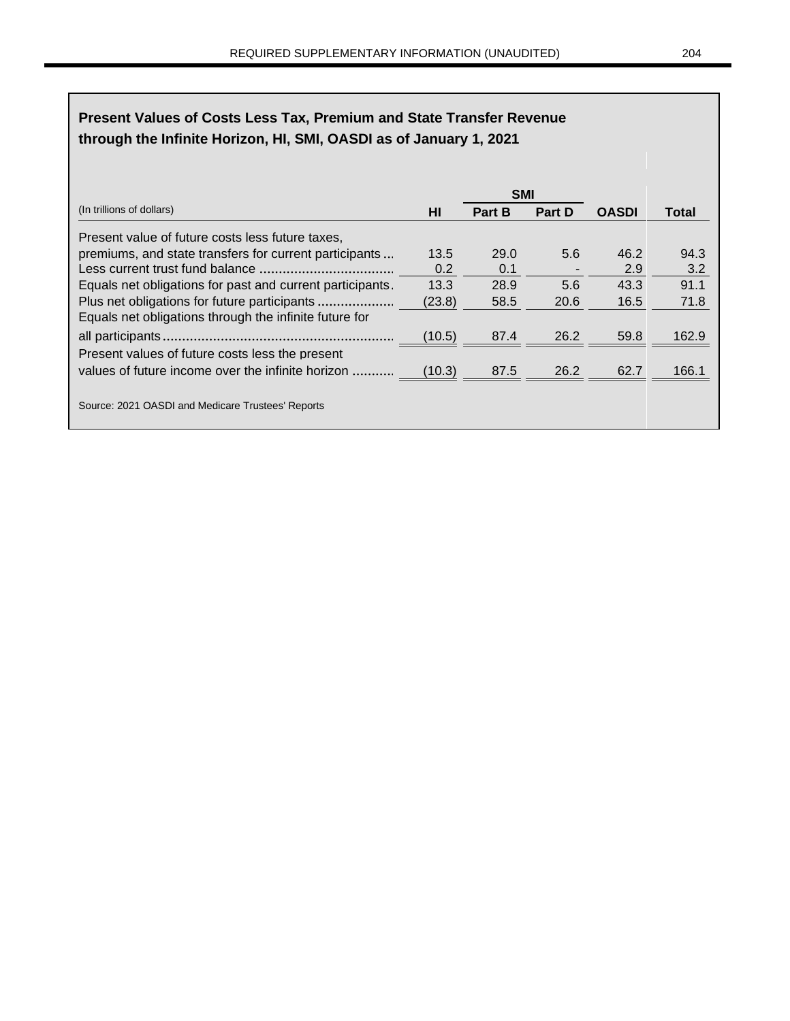# **Present Values of Costs Less Tax, Premium and State Transfer Revenue through the Infinite Horizon, HI, SMI, OASDI as of January 1, 2021**

|                                                           |        | <b>SMI</b>    |                          |              |              |
|-----------------------------------------------------------|--------|---------------|--------------------------|--------------|--------------|
| (In trillions of dollars)                                 | HI     | <b>Part B</b> | <b>Part D</b>            | <b>OASDI</b> | <b>Total</b> |
| Present value of future costs less future taxes,          |        |               |                          |              |              |
| premiums, and state transfers for current participants    | 13.5   | 29.0          | 5.6                      | 46.2         | 94.3         |
|                                                           | 0.2    | 0.1           | $\overline{\phantom{a}}$ | 2.9          | 3.2          |
| Equals net obligations for past and current participants. | 13.3   | 28.9          | 5.6                      | 43.3         | 91.1         |
|                                                           | (23.8) | 58.5          | 20.6                     | 16.5         | 71.8         |
| Equals net obligations through the infinite future for    |        |               |                          |              |              |
|                                                           | (10.5) | 87.4          | 26.2                     | 59.8         | 162.9        |
| Present values of future costs less the present           |        |               |                          |              |              |
| values of future income over the infinite horizon         | (10.3) | 87.5          | 26.2                     | 62.7         | 166.1        |
| Source: 2021 OASDI and Medicare Trustees' Reports         |        |               |                          |              |              |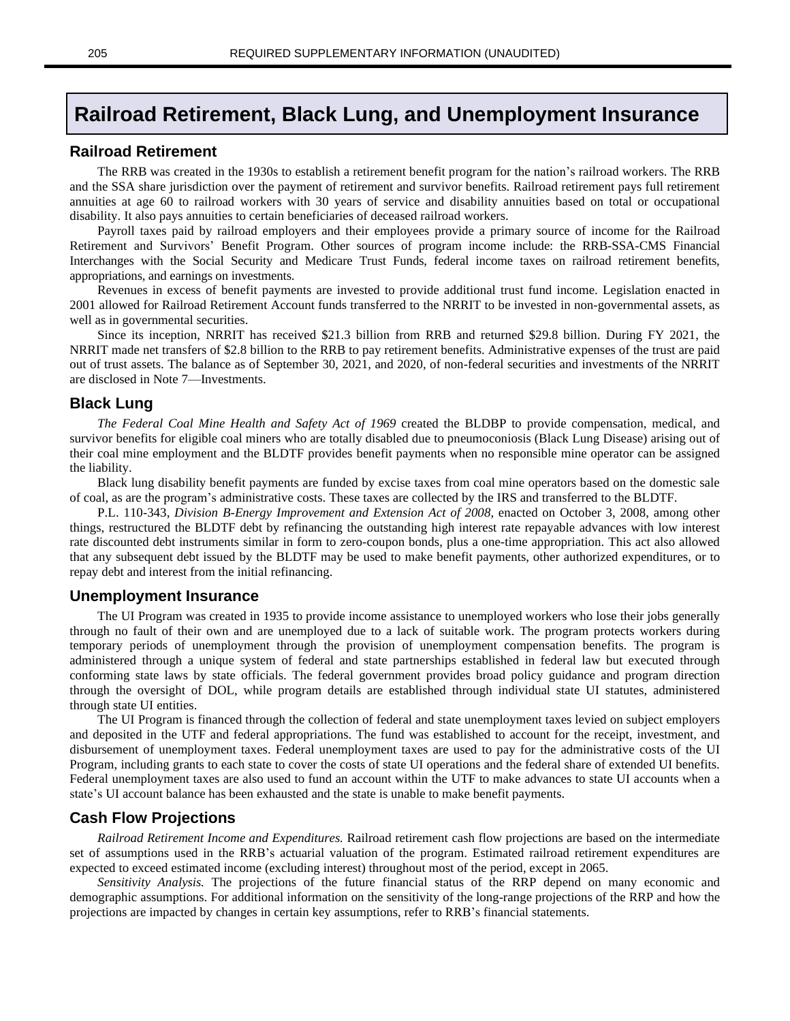# **Railroad Retirement, Black Lung, and Unemployment Insurance**

#### **Railroad Retirement**

The RRB was created in the 1930s to establish a retirement benefit program for the nation's railroad workers. The RRB and the SSA share jurisdiction over the payment of retirement and survivor benefits. Railroad retirement pays full retirement annuities at age 60 to railroad workers with 30 years of service and disability annuities based on total or occupational disability. It also pays annuities to certain beneficiaries of deceased railroad workers.

Payroll taxes paid by railroad employers and their employees provide a primary source of income for the Railroad Retirement and Survivors' Benefit Program. Other sources of program income include: the RRB-SSA-CMS Financial Interchanges with the Social Security and Medicare Trust Funds, federal income taxes on railroad retirement benefits, appropriations, and earnings on investments.

Revenues in excess of benefit payments are invested to provide additional trust fund income. Legislation enacted in 2001 allowed for Railroad Retirement Account funds transferred to the NRRIT to be invested in non-governmental assets, as well as in governmental securities.

Since its inception, NRRIT has received \$21.3 billion from RRB and returned \$29.8 billion. During FY 2021, the NRRIT made net transfers of \$2.8 billion to the RRB to pay retirement benefits. Administrative expenses of the trust are paid out of trust assets. The balance as of September 30, 2021, and 2020, of non-federal securities and investments of the NRRIT are disclosed in Note 7—Investments.

#### **Black Lung**

*The Federal Coal Mine Health and Safety Act of 1969* created the BLDBP to provide compensation, medical, and survivor benefits for eligible coal miners who are totally disabled due to pneumoconiosis (Black Lung Disease) arising out of their coal mine employment and the BLDTF provides benefit payments when no responsible mine operator can be assigned the liability.

Black lung disability benefit payments are funded by excise taxes from coal mine operators based on the domestic sale of coal, as are the program's administrative costs. These taxes are collected by the IRS and transferred to the BLDTF.

P.L. 110-343, *Division B-Energy Improvement and Extension Act of 2008*, enacted on October 3, 2008, among other things, restructured the BLDTF debt by refinancing the outstanding high interest rate repayable advances with low interest rate discounted debt instruments similar in form to zero-coupon bonds, plus a one-time appropriation. This act also allowed that any subsequent debt issued by the BLDTF may be used to make benefit payments, other authorized expenditures, or to repay debt and interest from the initial refinancing.

#### **Unemployment Insurance**

The UI Program was created in 1935 to provide income assistance to unemployed workers who lose their jobs generally through no fault of their own and are unemployed due to a lack of suitable work. The program protects workers during temporary periods of unemployment through the provision of unemployment compensation benefits. The program is administered through a unique system of federal and state partnerships established in federal law but executed through conforming state laws by state officials. The federal government provides broad policy guidance and program direction through the oversight of DOL, while program details are established through individual state UI statutes, administered through state UI entities.

The UI Program is financed through the collection of federal and state unemployment taxes levied on subject employers and deposited in the UTF and federal appropriations. The fund was established to account for the receipt, investment, and disbursement of unemployment taxes. Federal unemployment taxes are used to pay for the administrative costs of the UI Program, including grants to each state to cover the costs of state UI operations and the federal share of extended UI benefits. Federal unemployment taxes are also used to fund an account within the UTF to make advances to state UI accounts when a state's UI account balance has been exhausted and the state is unable to make benefit payments.

#### **Cash Flow Projections**

*Railroad Retirement Income and Expenditures.* Railroad retirement cash flow projections are based on the intermediate set of assumptions used in the RRB's actuarial valuation of the program. Estimated railroad retirement expenditures are expected to exceed estimated income (excluding interest) throughout most of the period, except in 2065.

*Sensitivity Analysis.* The projections of the future financial status of the RRP depend on many economic and demographic assumptions. For additional information on the sensitivity of the long-range projections of the RRP and how the projections are impacted by changes in certain key assumptions, refer to RRB's financial statements.